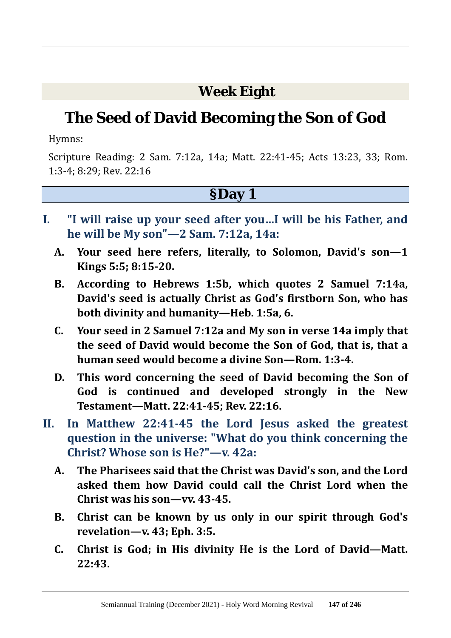## **Week Eight**

# **The Seed of David Becoming the Son of God**

Hymns:

Scripture Reading: 2 Sam. 7:12a, 14a; Matt. 22:41-45; Acts 13:23, 33; Rom. 1:3-4; 8:29; Rev. 22:16

## **§Day 1**

- **I. "I will raise up your seed after you…I will be his Father, and he will be My son"—2 Sam. 7:12a, 14a:**
	- **A. Your seed here refers, literally, to Solomon, David's son—1 Kings 5:5; 8:15-20.**
	- **B. According to Hebrews 1:5b, which quotes 2 Samuel 7:14a, David's seed is actually Christ as God's firstborn Son, who has both divinity and humanity—Heb. 1:5a, 6.**
	- **C. Your seed in 2 Samuel 7:12a and My son in verse 14a imply that the seed of David would become the Son of God, that is, that a human seed would become a divine Son—Rom. 1:3-4.**
	- **D. This word concerning the seed of David becoming the Son of God is continued and developed strongly in the New Testament—Matt. 22:41-45; Rev. 22:16.**
- **II. In Matthew 22:41-45 the Lord Jesus asked the greatest question in the universe: "What do you think concerning the Christ? Whose son is He?"—v. 42a:**
	- **A. The Pharisees said that the Christ was David's son, and the Lord asked them how David could call the Christ Lord when the Christ was his son—vv. 43-45.**
	- **B. Christ can be known by us only in our spirit through God's revelation—v. 43; Eph. 3:5.**
	- **C. Christ is God; in His divinity He is the Lord of David—Matt. 22:43.**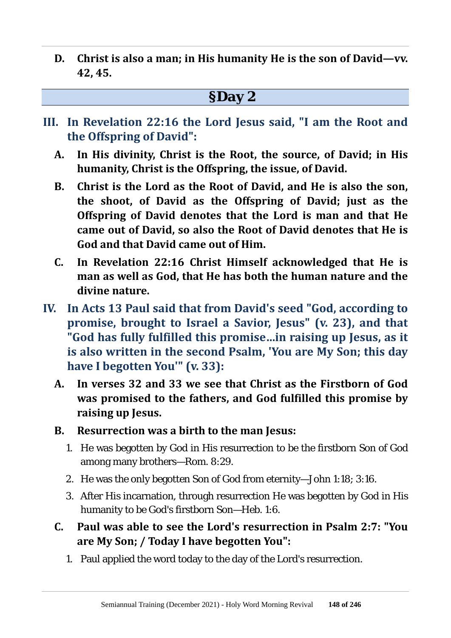**D. Christ is also a man; in His humanity He is the son of David—vv. 42, 45.**

#### **§Day 2**

- **III. In Revelation 22:16 the Lord Jesus said, "I am the Root and the Offspring of David":**
	- **A. In His divinity, Christ is the Root, the source, of David; in His humanity, Christ is the Offspring, the issue, of David.**
	- **B. Christ is the Lord as the Root of David, and He is also the son, the shoot, of David as the Offspring of David; just as the Offspring of David denotes that the Lord is man and that He came out of David, so also the Root of David denotes that He is God and that David came out of Him.**
	- **C. In Revelation 22:16 Christ Himself acknowledged that He is man as well as God, that He has both the human nature and the divine nature.**
- **IV. In Acts 13 Paul said that from David's seed "God, according to promise, brought to Israel a Savior, Jesus" (v. 23), and that "God has fully fulfilled this promise…in raising up Jesus, as it is also written in the second Psalm, 'You are My Son; this day have I begotten You'" (v. 33):**
	- **A. In verses 32 and 33 we see that Christ as the Firstborn of God was promised to the fathers, and God fulfilled this promise by raising up Jesus.**
	- **B. Resurrection was a birth to the man Jesus:**
		- 1. He was begotten by God in His resurrection to be the firstborn Son of God among many brothers—Rom. 8:29.
		- 2. He was the only begotten Son of God from eternity—John 1:18; 3:16.
		- 3. After His incarnation, through resurrection He was begotten by God in His humanity to be God's firstborn Son—Heb. 1:6.
	- **C. Paul was able to see the Lord's resurrection in Psalm 2:7: "You are My Son; / Today I have begotten You":**
		- 1. Paul applied the word today to the day of the Lord's resurrection.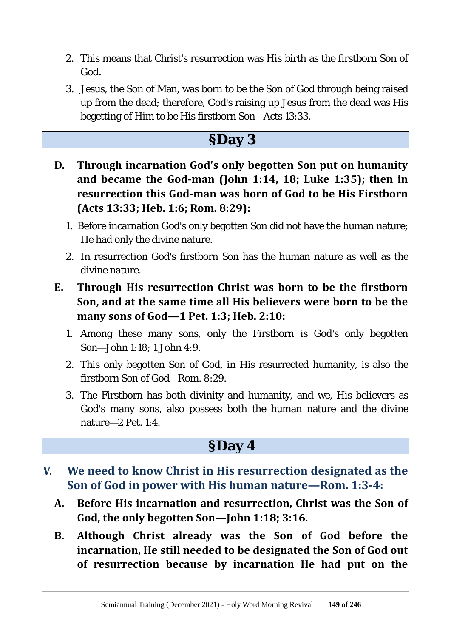- 2. This means that Christ's resurrection was His birth as the firstborn Son of God.
- 3. Jesus, the Son of Man, was born to be the Son of God through being raised up from the dead; therefore, God's raising up Jesus from the dead was His begetting of Him to be His firstborn Son—Acts 13:33.

## **§Day 3**

- **D. Through incarnation God's only begotten Son put on humanity and became the God-man (John 1:14, 18; Luke 1:35); then in resurrection this God-man was born of God to be His Firstborn (Acts 13:33; Heb. 1:6; Rom. 8:29):**
	- 1. Before incarnation God's only begotten Son did not have the human nature; He had only the divine nature.
	- 2. In resurrection God's firstborn Son has the human nature as well as the divine nature.
- **E. Through His resurrection Christ was born to be the firstborn Son, and at the same time all His believers were born to be the many sons of God—1 Pet. 1:3; Heb. 2:10:**
	- 1. Among these many sons, only the Firstborn is God's only begotten Son—John 1:18; 1 John 4:9.
	- 2. This only begotten Son of God, in His resurrected humanity, is also the firstborn Son of God—Rom. 8:29.
	- 3. The Firstborn has both divinity and humanity, and we, His believers as God's many sons, also possess both the human nature and the divine nature—2 Pet. 1:4.

## **§Day 4**

- **V. We need to know Christ in His resurrection designated as the Son of God in power with His human nature—Rom. 1:3-4:**
	- **A. Before His incarnation and resurrection, Christ was the Son of God, the only begotten Son—John 1:18; 3:16.**
	- **B. Although Christ already was the Son of God before the incarnation, He still needed to be designated the Son of God out of resurrection because by incarnation He had put on the**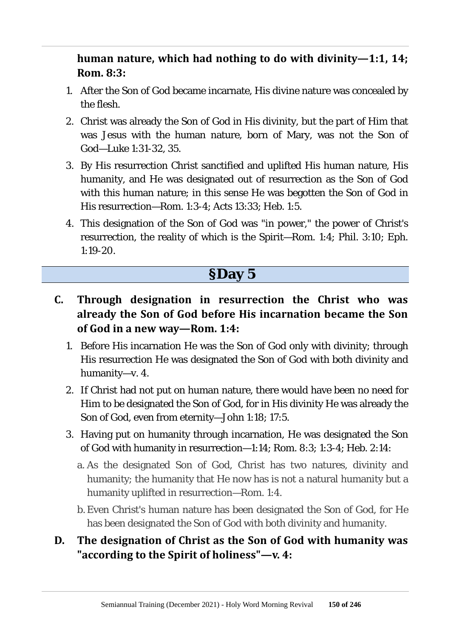#### **human nature, which had nothing to do with divinity—1:1, 14; Rom. 8:3:**

- 1. After the Son of God became incarnate, His divine nature was concealed by the flesh.
- 2. Christ was already the Son of God in His divinity, but the part of Him that was Jesus with the human nature, born of Mary, was not the Son of God—Luke 1:31-32, 35.
- 3. By His resurrection Christ sanctified and uplifted His human nature, His humanity, and He was designated out of resurrection as the Son of God with this human nature; in this sense He was begotten the Son of God in His resurrection—Rom. 1:3-4; Acts 13:33; Heb. 1:5.
- 4. This designation of the Son of God was "in power," the power of Christ's resurrection, the reality of which is the Spirit—Rom. 1:4; Phil. 3:10; Eph. 1:19-20.

## **§Day 5**

- **C. Through designation in resurrection the Christ who was already the Son of God before His incarnation became the Son of God in a new way—Rom. 1:4:**
	- 1. Before His incarnation He was the Son of God only with divinity; through His resurrection He was designated the Son of God with both divinity and humanity—v. 4.
	- 2. If Christ had not put on human nature, there would have been no need for Him to be designated the Son of God, for in His divinity He was already the Son of God, even from eternity—John 1:18; 17:5.
	- 3. Having put on humanity through incarnation, He was designated the Son of God with humanity in resurrection—1:14; Rom. 8:3; 1:3-4; Heb. 2:14:
		- a. As the designated Son of God, Christ has two natures, divinity and humanity; the humanity that He now has is not a natural humanity but a humanity uplifted in resurrection—Rom. 1:4.
		- b. Even Christ's human nature has been designated the Son of God, for He has been designated the Son of God with both divinity and humanity.

### **D. The designation of Christ as the Son of God with humanity was "according to the Spirit of holiness"—v. 4:**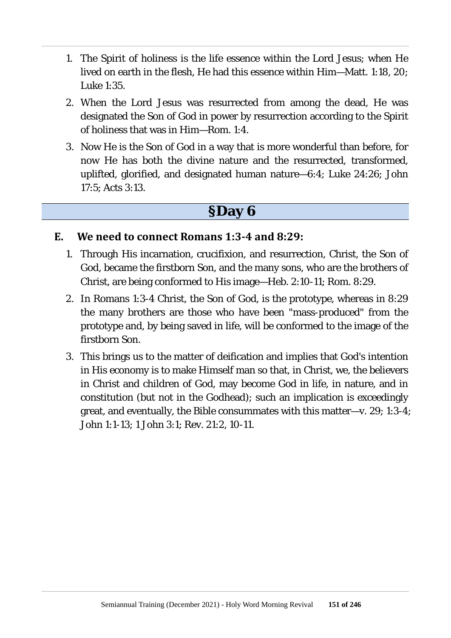- 1. The Spirit of holiness is the life essence within the Lord Jesus; when He lived on earth in the flesh, He had this essence within Him—Matt. 1:18, 20; Luke 1:35.
- 2. When the Lord Jesus was resurrected from among the dead, He was designated the Son of God in power by resurrection according to the Spirit of holiness that was in Him—Rom. 1:4.
- 3. Now He is the Son of God in a way that is more wonderful than before, for now He has both the divine nature and the resurrected, transformed, uplifted, glorified, and designated human nature—6:4; Luke 24:26; John 17:5; Acts 3:13.

#### **§Day 6**

#### **E. We need to connect Romans 1:3-4 and 8:29:**

- 1. Through His incarnation, crucifixion, and resurrection, Christ, the Son of God, became the firstborn Son, and the many sons, who are the brothers of Christ, are being conformed to His image—Heb. 2:10-11; Rom. 8:29.
- 2. In Romans 1:3-4 Christ, the Son of God, is the prototype, whereas in 8:29 the many brothers are those who have been "mass-produced" from the prototype and, by being saved in life, will be conformed to the image of the firstborn Son.
- 3. This brings us to the matter of deification and implies that God's intention in His economy is to make Himself man so that, in Christ, we, the believers in Christ and children of God, may become God in life, in nature, and in constitution (but not in the Godhead); such an implication is exceedingly great, and eventually, the Bible consummates with this matter—v. 29; 1:3-4; John 1:1-13; 1 John 3:1; Rev. 21:2, 10-11.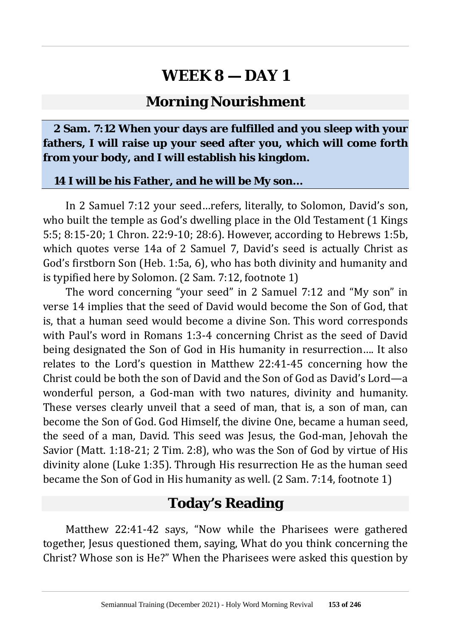## **Morning Nourishment**

**2 Sam. 7:12 When your days are fulfilled and you sleep with your fathers, I will raise up your seed after you, which will come forth from your body, and I will establish his kingdom.**

#### **14 I will be his Father, and he will be My son…**

In 2 Samuel 7:12 your seed…refers, literally, to Solomon, David's son, who built the temple as God's dwelling place in the Old Testament (1 Kings) 5:5; 8:15-20; 1 Chron. 22:9-10; 28:6). However, according to Hebrews 1:5b, which quotes verse 14a of 2 Samuel 7, David's seed is actually Christ as God's firstborn Son (Heb. 1:5a, 6), who has both divinity and humanity and is typified here by Solomon. (2 Sam. 7:12, footnote 1)

The word concerning "your seed" in 2 Samuel 7:12 and "My son" in verse 14 implies that the seed of David would become the Son of God, that is, that a human seed would become a divine Son. This word corresponds with Paul's word in Romans 1:3-4 concerning Christ as the seed of David being designated the Son of God in His humanity in resurrection…. It also relates to the Lord's question in Matthew 22:41-45 concerning how the Christ could be both the son of David and the Son of God as David's Lord—a wonderful person, a God-man with two natures, divinity and humanity. These verses clearly unveil that a seed of man, that is, a son of man, can become the Son of God. God Himself, the divine One, became a human seed, the seed of a man, David. This seed was Jesus, the God-man, Jehovah the Savior (Matt. 1:18-21; 2 Tim. 2:8), who was the Son of God by virtue of His divinity alone (Luke 1:35). Through His resurrection He as the human seed became the Son of God in His humanity as well. (2 Sam. 7:14, footnote 1)

## **Today's Reading**

Matthew 22:41-42 says, "Now while the Pharisees were gathered together, Jesus questioned them, saying, What do you think concerning the Christ? Whose son is He?" When the Pharisees were asked this question by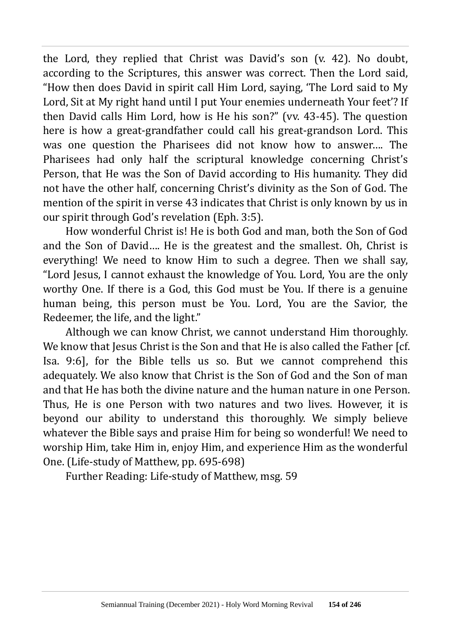the Lord, they replied that Christ was David's son (v. 42). No doubt, according to the Scriptures, this answer was correct. Then the Lord said, "How then does David in spirit call Him Lord, saying, 'The Lord said to My Lord, Sit at My right hand until I put Your enemies underneath Your feet'? If then David calls Him Lord, how is He his son?" (vv. 43-45). The question here is how a great-grandfather could call his great-grandson Lord. This was one question the Pharisees did not know how to answer…. The Pharisees had only half the scriptural knowledge concerning Christ's Person, that He was the Son of David according to His humanity. They did not have the other half, concerning Christ's divinity as the Son of God. The mention of the spirit in verse 43 indicates that Christ is only known by us in our spirit through God's revelation (Eph. 3:5).

How wonderful Christ is! He is both God and man, both the Son of God and the Son of David…. He is the greatest and the smallest. Oh, Christ is everything! We need to know Him to such a degree. Then we shall say, "Lord Jesus, I cannot exhaust the knowledge of You. Lord, You are the only worthy One. If there is a God, this God must be You. If there is a genuine human being, this person must be You. Lord, You are the Savior, the Redeemer, the life, and the light."

Although we can know Christ, we cannot understand Him thoroughly. We know that Jesus Christ is the Son and that He is also called the Father [cf. Isa. 9:6], for the Bible tells us so. But we cannot comprehend this adequately. We also know that Christ is the Son of God and the Son of man and that He has both the divine nature and the human nature in one Person. Thus, He is one Person with two natures and two lives. However, it is beyond our ability to understand this thoroughly. We simply believe whatever the Bible says and praise Him for being so wonderful! We need to worship Him, take Him in, enjoy Him, and experience Him as the wonderful One. (Life-study of Matthew, pp. 695-698)

Further Reading: Life-study of Matthew, msg. 59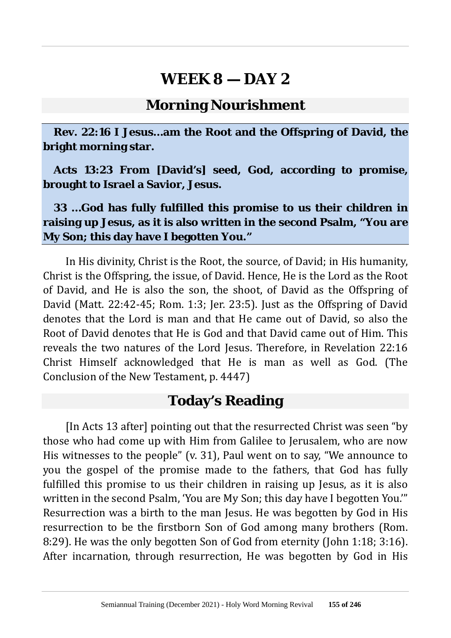### **Morning Nourishment**

**Rev. 22:16 I Jesus…am the Root and the Offspring of David, the bright morning star.**

**Acts 13:23 From [David's] seed, God, according to promise, brought to Israel a Savior, Jesus.**

**33 …God has fully fulfilled this promise to us their children in raising up Jesus, as it is also written in the second Psalm, "You are My Son; this day have I begotten You."**

In His divinity, Christ is the Root, the source, of David; in His humanity, Christ is the Offspring, the issue, of David. Hence, He is the Lord as the Root of David, and He is also the son, the shoot, of David as the Offspring of David (Matt. 22:42-45; Rom. 1:3; Jer. 23:5). Just as the Offspring of David denotes that the Lord is man and that He came out of David, so also the Root of David denotes that He is God and that David came out of Him. This reveals the two natures of the Lord Jesus. Therefore, in Revelation 22:16 Christ Himself acknowledged that He is man as well as God. (The Conclusion of the New Testament, p. 4447)

### **Today's Reading**

[In Acts 13 after] pointing out that the resurrected Christ was seen "by those who had come up with Him from Galilee to Jerusalem, who are now His witnesses to the people" (v. 31), Paul went on to say, "We announce to you the gospel of the promise made to the fathers, that God has fully fulfilled this promise to us their children in raising up Jesus, as it is also written in the second Psalm, 'You are My Son; this day have I begotten You.'" Resurrection was a birth to the man Jesus. He was begotten by God in His resurrection to be the firstborn Son of God among many brothers (Rom. 8:29). He was the only begotten Son of God from eternity (John 1:18; 3:16). After incarnation, through resurrection, He was begotten by God in His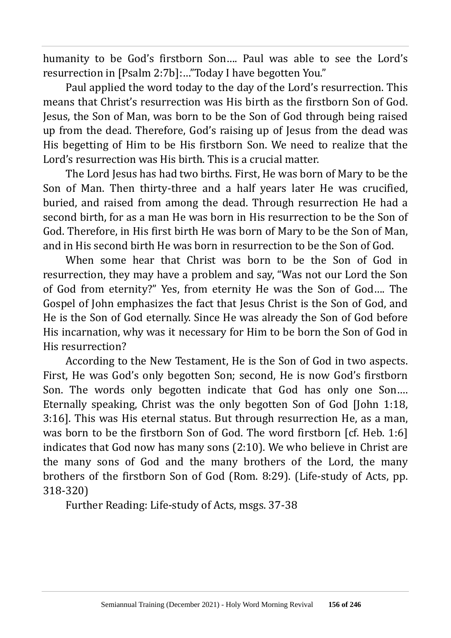humanity to be God's firstborn Son…. Paul was able to see the Lord's resurrection in [Psalm 2:7b]:…"Today I have begotten You."

Paul applied the word today to the day of the Lord's resurrection. This means that Christ's resurrection was His birth as the firstborn Son of God. Jesus, the Son of Man, was born to be the Son of God through being raised up from the dead. Therefore, God's raising up of Jesus from the dead was His begetting of Him to be His firstborn Son. We need to realize that the Lord's resurrection was His birth. This is a crucial matter.

The Lord Jesus has had two births. First, He was born of Mary to be the Son of Man. Then thirty-three and a half years later He was crucified, buried, and raised from among the dead. Through resurrection He had a second birth, for as a man He was born in His resurrection to be the Son of God. Therefore, in His first birth He was born of Mary to be the Son of Man, and in His second birth He was born in resurrection to be the Son of God.

When some hear that Christ was born to be the Son of God in resurrection, they may have a problem and say, "Was not our Lord the Son of God from eternity?" Yes, from eternity He was the Son of God…. The Gospel of John emphasizes the fact that Jesus Christ is the Son of God, and He is the Son of God eternally. Since He was already the Son of God before His incarnation, why was it necessary for Him to be born the Son of God in His resurrection?

According to the New Testament, He is the Son of God in two aspects. First, He was God's only begotten Son; second, He is now God's firstborn Son. The words only begotten indicate that God has only one Son…. Eternally speaking, Christ was the only begotten Son of God [John 1:18, 3:16]. This was His eternal status. But through resurrection He, as a man, was born to be the firstborn Son of God. The word firstborn [cf. Heb. 1:6] indicates that God now has many sons (2:10). We who believe in Christ are the many sons of God and the many brothers of the Lord, the many brothers of the firstborn Son of God (Rom. 8:29). (Life-study of Acts, pp. 318-320)

Further Reading: Life-study of Acts, msgs. 37-38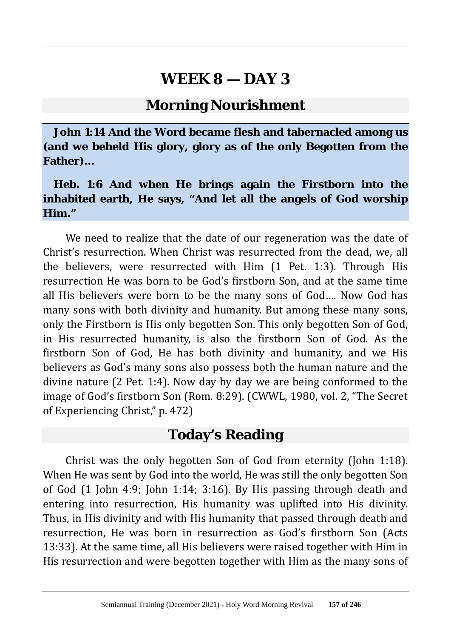#### **Morning Nourishment**

**John 1:14 And the Word became flesh and tabernacled among us (and we beheld His glory, glory as of the only Begotten from the Father)…**

#### **Heb. 1:6 And when He brings again the Firstborn into the inhabited earth, He says, "And let all the angels of God worship Him."**

We need to realize that the date of our regeneration was the date of Christ's resurrection. When Christ was resurrected from the dead, we, all the believers, were resurrected with Him (1 Pet. 1:3). Through His resurrection He was born to be God's firstborn Son, and at the same time all His believers were born to be the many sons of God…. Now God has many sons with both divinity and humanity. But among these many sons, only the Firstborn is His only begotten Son. This only begotten Son of God, in His resurrected humanity, is also the firstborn Son of God. As the firstborn Son of God, He has both divinity and humanity, and we His believers as God's many sons also possess both the human nature and the divine nature (2 Pet. 1:4). Now day by day we are being conformed to the image of God's firstborn Son (Rom. 8:29). (CWWL, 1980, vol. 2, "The Secret of Experiencing Christ," p. 472)

### **Today's Reading**

Christ was the only begotten Son of God from eternity (John 1:18). When He was sent by God into the world, He was still the only begotten Son of God (1 John 4:9; John 1:14; 3:16). By His passing through death and entering into resurrection, His humanity was uplifted into His divinity. Thus, in His divinity and with His humanity that passed through death and resurrection, He was born in resurrection as God's firstborn Son (Acts 13:33). At the same time, all His believers were raised together with Him in His resurrection and were begotten together with Him as the many sons of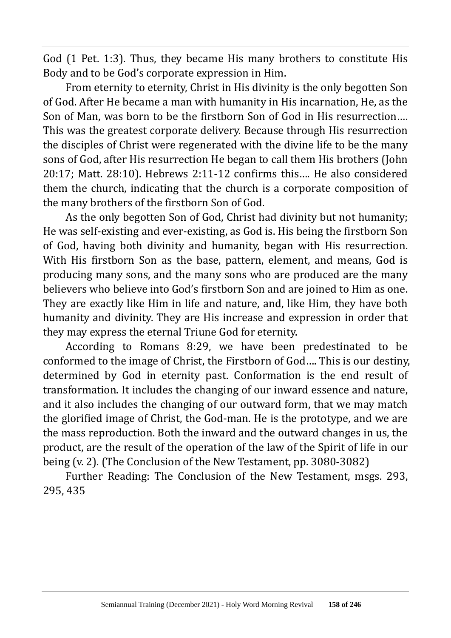God (1 Pet. 1:3). Thus, they became His many brothers to constitute His Body and to be God's corporate expression in Him.

From eternity to eternity, Christ in His divinity is the only begotten Son of God. After He became a man with humanity in His incarnation, He, as the Son of Man, was born to be the firstborn Son of God in His resurrection…. This was the greatest corporate delivery. Because through His resurrection the disciples of Christ were regenerated with the divine life to be the many sons of God, after His resurrection He began to call them His brothers (John 20:17; Matt. 28:10). Hebrews 2:11-12 confirms this…. He also considered them the church, indicating that the church is a corporate composition of the many brothers of the firstborn Son of God.

As the only begotten Son of God, Christ had divinity but not humanity; He was self-existing and ever-existing, as God is. His being the firstborn Son of God, having both divinity and humanity, began with His resurrection. With His firstborn Son as the base, pattern, element, and means, God is producing many sons, and the many sons who are produced are the many believers who believe into God's firstborn Son and are joined to Him as one. They are exactly like Him in life and nature, and, like Him, they have both humanity and divinity. They are His increase and expression in order that they may express the eternal Triune God for eternity.

According to Romans 8:29, we have been predestinated to be conformed to the image of Christ, the Firstborn of God…. This is our destiny, determined by God in eternity past. Conformation is the end result of transformation. It includes the changing of our inward essence and nature, and it also includes the changing of our outward form, that we may match the glorified image of Christ, the God-man. He is the prototype, and we are the mass reproduction. Both the inward and the outward changes in us, the product, are the result of the operation of the law of the Spirit of life in our being (v. 2). (The Conclusion of the New Testament, pp. 3080-3082)

Further Reading: The Conclusion of the New Testament, msgs. 293, 295, 435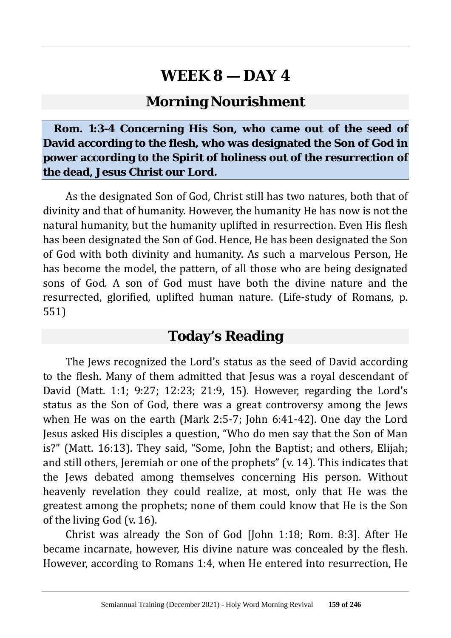#### **Morning Nourishment**

**Rom. 1:3-4 Concerning His Son, who came out of the seed of David according to the flesh, who was designated the Son of God in power according to the Spirit of holiness out of the resurrection of the dead, Jesus Christ our Lord.**

As the designated Son of God, Christ still has two natures, both that of divinity and that of humanity. However, the humanity He has now is not the natural humanity, but the humanity uplifted in resurrection. Even His flesh has been designated the Son of God. Hence, He has been designated the Son of God with both divinity and humanity. As such a marvelous Person, He has become the model, the pattern, of all those who are being designated sons of God. A son of God must have both the divine nature and the resurrected, glorified, uplifted human nature. (Life-study of Romans, p. 551)

### **Today's Reading**

The Jews recognized the Lord's status as the seed of David according to the flesh. Many of them admitted that Jesus was a royal descendant of David (Matt. 1:1; 9:27; 12:23; 21:9, 15). However, regarding the Lord's status as the Son of God, there was a great controversy among the Jews when He was on the earth (Mark 2:5-7; John 6:41-42). One day the Lord Jesus asked His disciples a question, "Who do men say that the Son of Man is?" (Matt. 16:13). They said, "Some, John the Baptist; and others, Elijah; and still others, Jeremiah or one of the prophets" (v. 14). This indicates that the Jews debated among themselves concerning His person. Without heavenly revelation they could realize, at most, only that He was the greatest among the prophets; none of them could know that He is the Son of the living God (v. 16).

Christ was already the Son of God [John 1:18; Rom. 8:3]. After He became incarnate, however, His divine nature was concealed by the flesh. However, according to Romans 1:4, when He entered into resurrection, He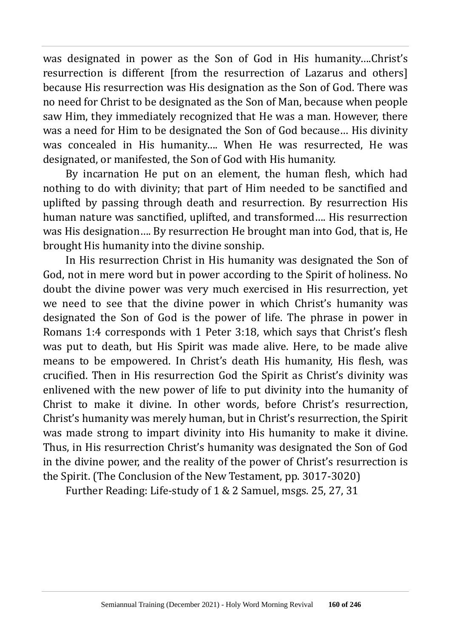was designated in power as the Son of God in His humanity….Christ's resurrection is different [from the resurrection of Lazarus and others] because His resurrection was His designation as the Son of God. There was no need for Christ to be designated as the Son of Man, because when people saw Him, they immediately recognized that He was a man. However, there was a need for Him to be designated the Son of God because… His divinity was concealed in His humanity…. When He was resurrected, He was designated, or manifested, the Son of God with His humanity.

By incarnation He put on an element, the human flesh, which had nothing to do with divinity; that part of Him needed to be sanctified and uplifted by passing through death and resurrection. By resurrection His human nature was sanctified, uplifted, and transformed…. His resurrection was His designation…. By resurrection He brought man into God, that is, He brought His humanity into the divine sonship.

In His resurrection Christ in His humanity was designated the Son of God, not in mere word but in power according to the Spirit of holiness. No doubt the divine power was very much exercised in His resurrection, yet we need to see that the divine power in which Christ's humanity was designated the Son of God is the power of life. The phrase in power in Romans 1:4 corresponds with 1 Peter 3:18, which says that Christ's flesh was put to death, but His Spirit was made alive. Here, to be made alive means to be empowered. In Christ's death His humanity, His flesh, was crucified. Then in His resurrection God the Spirit as Christ's divinity was enlivened with the new power of life to put divinity into the humanity of Christ to make it divine. In other words, before Christ's resurrection, Christ's humanity was merely human, but in Christ's resurrection, the Spirit was made strong to impart divinity into His humanity to make it divine. Thus, in His resurrection Christ's humanity was designated the Son of God in the divine power, and the reality of the power of Christ's resurrection is the Spirit. (The Conclusion of the New Testament, pp. 3017-3020)

Further Reading: Life-study of 1 & 2 Samuel, msgs. 25, 27, 31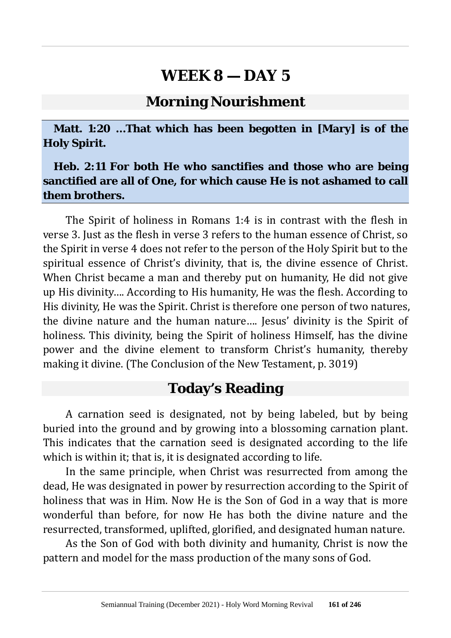#### **Morning Nourishment**

**Matt. 1:20 …That which has been begotten in [Mary] is of the Holy Spirit.**

#### **Heb. 2:11 For both He who sanctifies and those who are being sanctified are all of One, for which cause He is not ashamed to call them brothers.**

The Spirit of holiness in Romans 1:4 is in contrast with the flesh in verse 3. Just as the flesh in verse 3 refers to the human essence of Christ, so the Spirit in verse 4 does not refer to the person of the Holy Spirit but to the spiritual essence of Christ's divinity, that is, the divine essence of Christ. When Christ became a man and thereby put on humanity, He did not give up His divinity…. According to His humanity, He was the flesh. According to His divinity, He was the Spirit. Christ is therefore one person of two natures, the divine nature and the human nature…. Jesus' divinity is the Spirit of holiness. This divinity, being the Spirit of holiness Himself, has the divine power and the divine element to transform Christ's humanity, thereby making it divine. (The Conclusion of the New Testament, p. 3019)

### **Today's Reading**

A carnation seed is designated, not by being labeled, but by being buried into the ground and by growing into a blossoming carnation plant. This indicates that the carnation seed is designated according to the life which is within it; that is, it is designated according to life.

In the same principle, when Christ was resurrected from among the dead, He was designated in power by resurrection according to the Spirit of holiness that was in Him. Now He is the Son of God in a way that is more wonderful than before, for now He has both the divine nature and the resurrected, transformed, uplifted, glorified, and designated human nature.

As the Son of God with both divinity and humanity, Christ is now the pattern and model for the mass production of the many sons of God.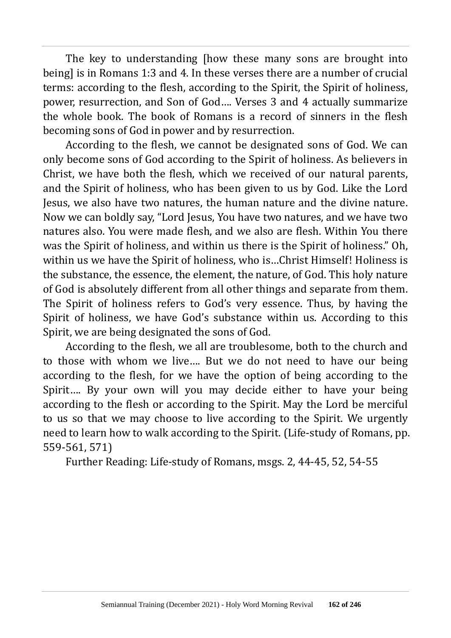The key to understanding [how these many sons are brought into being] is in Romans 1:3 and 4. In these verses there are a number of crucial terms: according to the flesh, according to the Spirit, the Spirit of holiness, power, resurrection, and Son of God…. Verses 3 and 4 actually summarize the whole book. The book of Romans is a record of sinners in the flesh becoming sons of God in power and by resurrection.

According to the flesh, we cannot be designated sons of God. We can only become sons of God according to the Spirit of holiness. As believers in Christ, we have both the flesh, which we received of our natural parents, and the Spirit of holiness, who has been given to us by God. Like the Lord Jesus, we also have two natures, the human nature and the divine nature. Now we can boldly say, "Lord Jesus, You have two natures, and we have two natures also. You were made flesh, and we also are flesh. Within You there was the Spirit of holiness, and within us there is the Spirit of holiness." Oh, within us we have the Spirit of holiness, who is…Christ Himself! Holiness is the substance, the essence, the element, the nature, of God. This holy nature of God is absolutely different from all other things and separate from them. The Spirit of holiness refers to God's very essence. Thus, by having the Spirit of holiness, we have God's substance within us. According to this Spirit, we are being designated the sons of God.

According to the flesh, we all are troublesome, both to the church and to those with whom we live…. But we do not need to have our being according to the flesh, for we have the option of being according to the Spirit…. By your own will you may decide either to have your being according to the flesh or according to the Spirit. May the Lord be merciful to us so that we may choose to live according to the Spirit. We urgently need to learn how to walk according to the Spirit. (Life-study of Romans, pp. 559-561, 571)

Further Reading: Life-study of Romans, msgs. 2, 44-45, 52, 54-55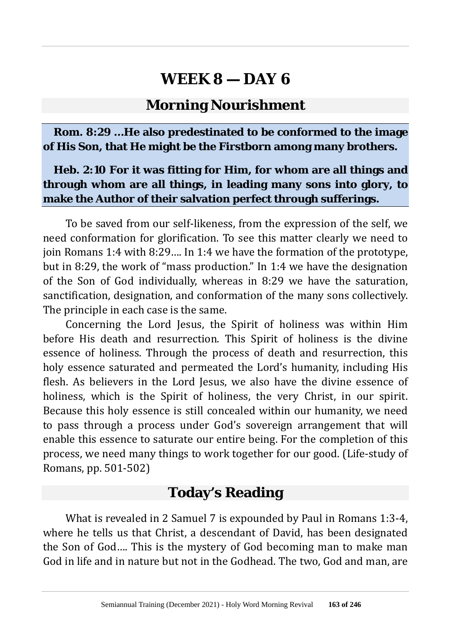### **Morning Nourishment**

**Rom. 8:29 …He also predestinated to be conformed to the image of His Son, that He might be the Firstborn among many brothers.**

#### **Heb. 2:10 For it was fitting for Him, for whom are all things and through whom are all things, in leading many sons into glory, to make the Author of their salvation perfect through sufferings.**

To be saved from our self-likeness, from the expression of the self, we need conformation for glorification. To see this matter clearly we need to join Romans 1:4 with 8:29…. In 1:4 we have the formation of the prototype, but in 8:29, the work of "mass production." In 1:4 we have the designation of the Son of God individually, whereas in 8:29 we have the saturation, sanctification, designation, and conformation of the many sons collectively. The principle in each case is the same.

Concerning the Lord Jesus, the Spirit of holiness was within Him before His death and resurrection. This Spirit of holiness is the divine essence of holiness. Through the process of death and resurrection, this holy essence saturated and permeated the Lord's humanity, including His flesh. As believers in the Lord Jesus, we also have the divine essence of holiness, which is the Spirit of holiness, the very Christ, in our spirit. Because this holy essence is still concealed within our humanity, we need to pass through a process under God's sovereign arrangement that will enable this essence to saturate our entire being. For the completion of this process, we need many things to work together for our good. (Life-study of Romans, pp. 501-502)

## **Today's Reading**

What is revealed in 2 Samuel 7 is expounded by Paul in Romans 1:3-4, where he tells us that Christ, a descendant of David, has been designated the Son of God…. This is the mystery of God becoming man to make man God in life and in nature but not in the Godhead. The two, God and man, are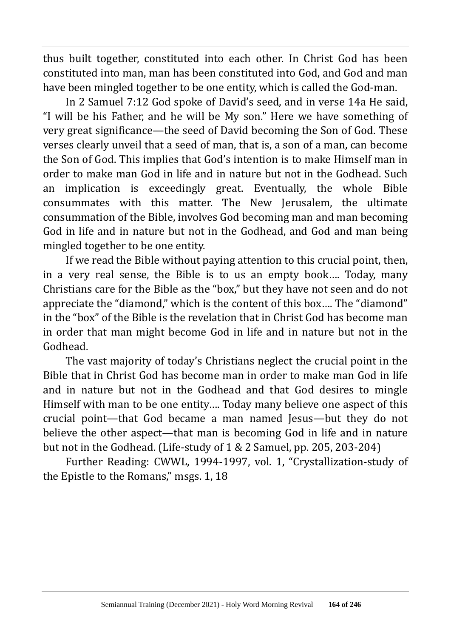thus built together, constituted into each other. In Christ God has been constituted into man, man has been constituted into God, and God and man have been mingled together to be one entity, which is called the God-man.

In 2 Samuel 7:12 God spoke of David's seed, and in verse 14a He said, "I will be his Father, and he will be My son." Here we have something of very great significance—the seed of David becoming the Son of God. These verses clearly unveil that a seed of man, that is, a son of a man, can become the Son of God. This implies that God's intention is to make Himself man in order to make man God in life and in nature but not in the Godhead. Such an implication is exceedingly great. Eventually, the whole Bible consummates with this matter. The New Jerusalem, the ultimate consummation of the Bible, involves God becoming man and man becoming God in life and in nature but not in the Godhead, and God and man being mingled together to be one entity.

If we read the Bible without paying attention to this crucial point, then, in a very real sense, the Bible is to us an empty book…. Today, many Christians care for the Bible as the "box," but they have not seen and do not appreciate the "diamond," which is the content of this box…. The "diamond" in the "box" of the Bible is the revelation that in Christ God has become man in order that man might become God in life and in nature but not in the Godhead.

The vast majority of today's Christians neglect the crucial point in the Bible that in Christ God has become man in order to make man God in life and in nature but not in the Godhead and that God desires to mingle Himself with man to be one entity…. Today many believe one aspect of this crucial point—that God became a man named Jesus—but they do not believe the other aspect—that man is becoming God in life and in nature but not in the Godhead. (Life-study of 1 & 2 Samuel, pp. 205, 203-204)

Further Reading: CWWL, 1994-1997, vol. 1, "Crystallization-study of the Epistle to the Romans," msgs. 1, 18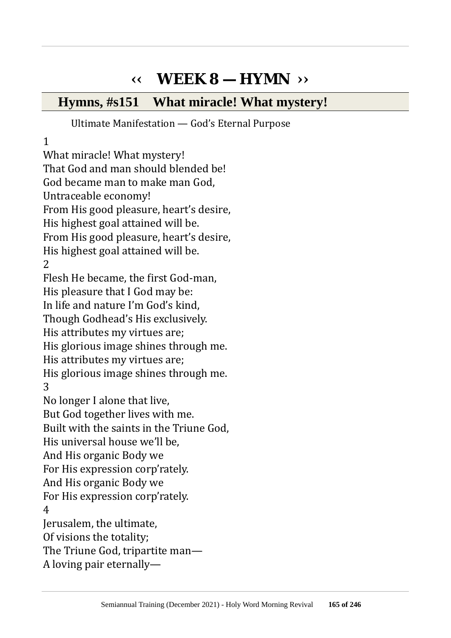# **‹‹ WEEK 8 — HYMN ››**

## **Hymns, #s151 What miracle! What mystery!**

#### Ultimate Manifestation — God's Eternal Purpose

1

What miracle! What mystery! That God and man should blended be! God became man to make man God, Untraceable economy! From His good pleasure, heart's desire, His highest goal attained will be. From His good pleasure, heart's desire, His highest goal attained will be. 2 Flesh He became, the first God-man, His pleasure that I God may be: In life and nature I'm God's kind, Though Godhead's His exclusively. His attributes my virtues are; His glorious image shines through me. His attributes my virtues are; His glorious image shines through me. 3 No longer I alone that live, But God together lives with me. Built with the saints in the Triune God, His universal house we'll be, And His organic Body we For His expression corp'rately. And His organic Body we For His expression corp'rately. 4 Jerusalem, the ultimate, Of visions the totality; The Triune God, tripartite man— A loving pair eternally